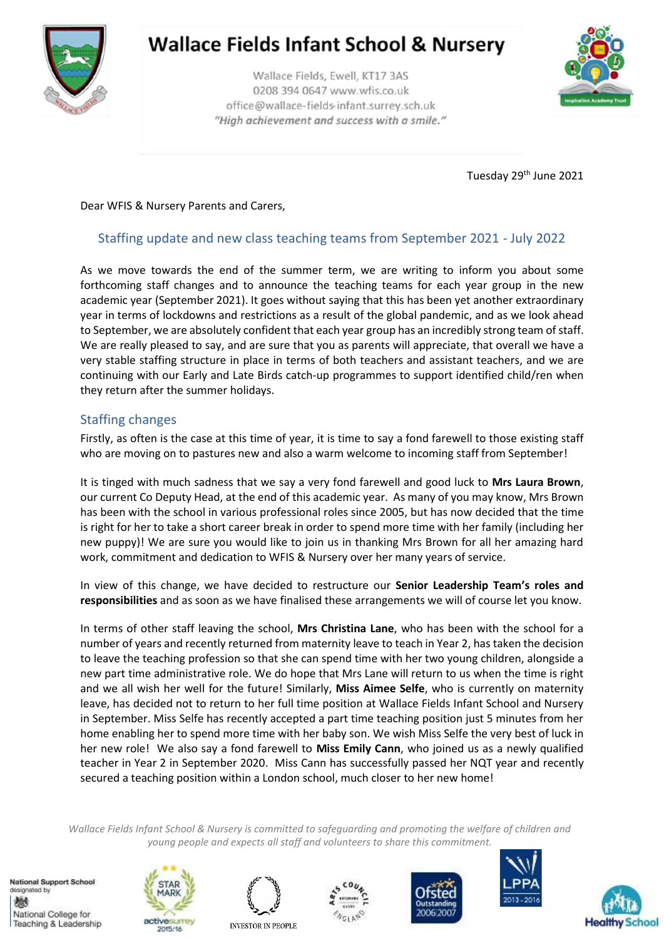

## **Wallace Fields Infant School & Nursery**

Wallace Fields, Ewell, KT17 3AS 0208 394 0647 www.wfis.co.uk office@wallace-fields-infant.surrey.sch.uk "High achievement and success with a smile."



Tuesday 29<sup>th</sup> June 2021

Dear WFIS & Nursery Parents and Carers,

## Staffing update and new class teaching teams from September 2021 - July 2022

As we move towards the end of the summer term, we are writing to inform you about some forthcoming staff changes and to announce the teaching teams for each year group in the new academic year (September 2021). It goes without saying that this has been yet another extraordinary year in terms of lockdowns and restrictions as a result of the global pandemic, and as we look ahead to September, we are absolutely confident that each year group has an incredibly strong team of staff. We are really pleased to say, and are sure that you as parents will appreciate, that overall we have a very stable staffing structure in place in terms of both teachers and assistant teachers, and we are continuing with our Early and Late Birds catch-up programmes to support identified child/ren when they return after the summer holidays.

## Staffing changes

Firstly, as often is the case at this time of year, it is time to say a fond farewell to those existing staff who are moving on to pastures new and also a warm welcome to incoming staff from September!

It is tinged with much sadness that we say a very fond farewell and good luck to **Mrs Laura Brown**, our current Co Deputy Head, at the end of this academic year. As many of you may know, Mrs Brown has been with the school in various professional roles since 2005, but has now decided that the time is right for her to take a short career break in order to spend more time with her family (including her new puppy)! We are sure you would like to join us in thanking Mrs Brown for all her amazing hard work, commitment and dedication to WFIS & Nursery over her many years of service.

In view of this change, we have decided to restructure our **Senior Leadership Team's roles and responsibilities** and as soon as we have finalised these arrangements we will of course let you know.

In terms of other staff leaving the school, **Mrs Christina Lane**, who has been with the school for a number of years and recently returned from maternity leave to teach in Year 2, has taken the decision to leave the teaching profession so that she can spend time with her two young children, alongside a new part time administrative role. We do hope that Mrs Lane will return to us when the time is right and we all wish her well for the future! Similarly, **Miss Aimee Selfe**, who is currently on maternity leave, has decided not to return to her full time position at Wallace Fields Infant School and Nursery in September. Miss Selfe has recently accepted a part time teaching position just 5 minutes from her home enabling her to spend more time with her baby son. We wish Miss Selfe the very best of luck in her new role! We also say a fond farewell to **Miss Emily Cann**, who joined us as a newly qualified teacher in Year 2 in September 2020. Miss Cann has successfully passed her NQT year and recently secured a teaching position within a London school, much closer to her new home!

*Wallace Fields Infant School & Nursery is committed to safeguarding and promoting the welfare of children and young people and expects all staff and volunteers to share this commitment.*

National Support School designated by 燃 National College for Teaching & Leadership











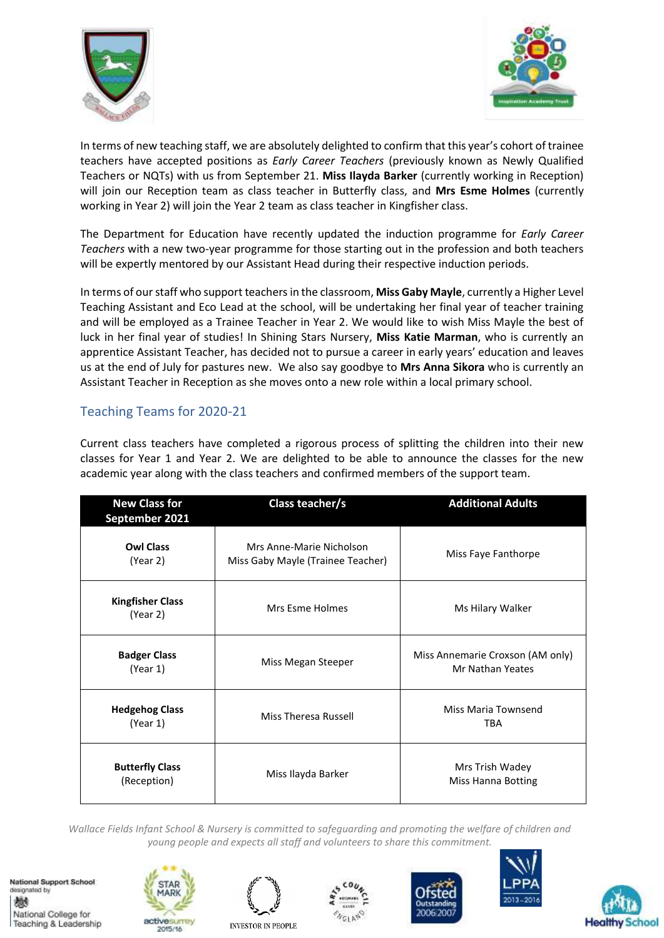



In terms of new teaching staff, we are absolutely delighted to confirm that this year's cohort of trainee teachers have accepted positions as *Early Career Teachers* (previously known as Newly Qualified Teachers or NQTs) with us from September 21. **Miss Ilayda Barker** (currently working in Reception) will join our Reception team as class teacher in Butterfly class, and **Mrs Esme Holmes** (currently working in Year 2) will join the Year 2 team as class teacher in Kingfisher class.

The Department for Education have recently updated the induction programme for *Early Career Teachers* with a new two-year programme for those starting out in the profession and both teachers will be expertly mentored by our Assistant Head during their respective induction periods.

In terms of our staff who support teachers in the classroom, **Miss Gaby Mayle**, currently a Higher Level Teaching Assistant and Eco Lead at the school, will be undertaking her final year of teacher training and will be employed as a Trainee Teacher in Year 2. We would like to wish Miss Mayle the best of luck in her final year of studies! In Shining Stars Nursery, **Miss Katie Marman**, who is currently an apprentice Assistant Teacher, has decided not to pursue a career in early years' education and leaves us at the end of July for pastures new. We also say goodbye to **Mrs Anna Sikora** who is currently an Assistant Teacher in Reception as she moves onto a new role within a local primary school.

## Teaching Teams for 2020-21

Current class teachers have completed a rigorous process of splitting the children into their new classes for Year 1 and Year 2. We are delighted to be able to announce the classes for the new academic year along with the class teachers and confirmed members of the support team.

| <b>New Class for</b><br>September 2021 | Class teacher/s                                               | <b>Additional Adults</b>                             |
|----------------------------------------|---------------------------------------------------------------|------------------------------------------------------|
| <b>Owl Class</b><br>(Year 2)           | Mrs Anne-Marie Nicholson<br>Miss Gaby Mayle (Trainee Teacher) | Miss Faye Fanthorpe                                  |
| <b>Kingfisher Class</b><br>(Year 2)    | Mrs Esme Holmes                                               | Ms Hilary Walker                                     |
| <b>Badger Class</b><br>(Year 1)        | Miss Megan Steeper                                            | Miss Annemarie Croxson (AM only)<br>Mr Nathan Yeates |
| <b>Hedgehog Class</b><br>(Year 1)      | Miss Theresa Russell                                          | Miss Maria Townsend<br><b>TBA</b>                    |
| <b>Butterfly Class</b><br>(Reception)  | Miss Ilayda Barker                                            | Mrs Trish Wadey<br>Miss Hanna Botting                |

*Wallace Fields Infant School & Nursery is committed to safeguarding and promoting the welfare of children and young people and expects all staff and volunteers to share this commitment.*

National Support School designated by 燃 National College for Teaching & Leadership











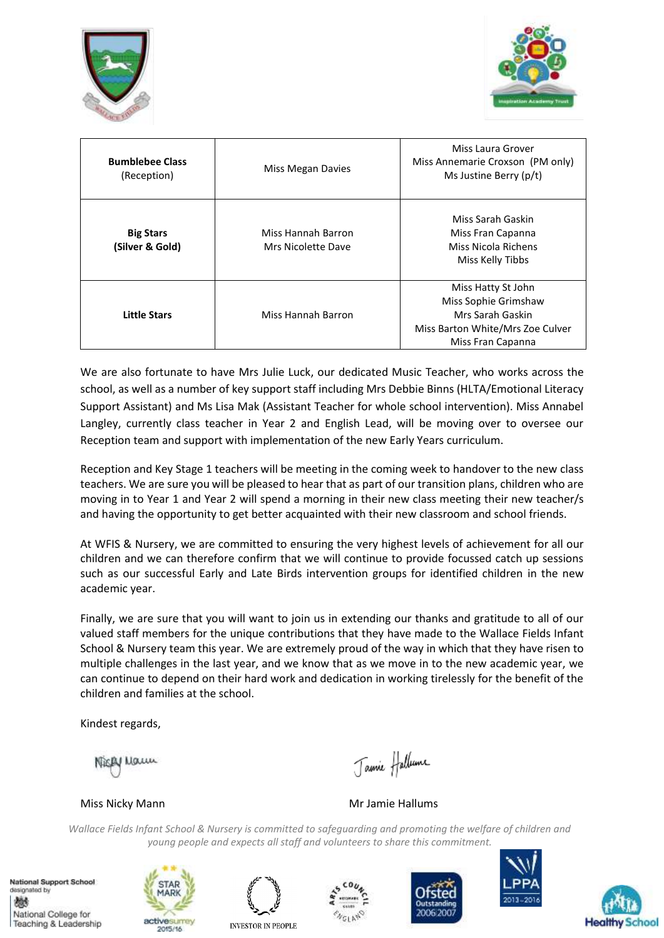



| <b>Bumblebee Class</b><br>(Reception) | Miss Megan Davies                        | Miss Laura Grover<br>Miss Annemarie Croxson (PM only)<br>Ms Justine Berry (p/t)                                         |
|---------------------------------------|------------------------------------------|-------------------------------------------------------------------------------------------------------------------------|
| <b>Big Stars</b><br>(Silver & Gold)   | Miss Hannah Barron<br>Mrs Nicolette Dave | Miss Sarah Gaskin<br>Miss Fran Capanna<br>Miss Nicola Richens<br>Miss Kelly Tibbs                                       |
| <b>Little Stars</b>                   | Miss Hannah Barron                       | Miss Hatty St John<br>Miss Sophie Grimshaw<br>Mrs Sarah Gaskin<br>Miss Barton White/Mrs Zoe Culver<br>Miss Fran Capanna |

We are also fortunate to have Mrs Julie Luck, our dedicated Music Teacher, who works across the school, as well as a number of key support staff including Mrs Debbie Binns (HLTA/Emotional Literacy Support Assistant) and Ms Lisa Mak (Assistant Teacher for whole school intervention). Miss Annabel Langley, currently class teacher in Year 2 and English Lead, will be moving over to oversee our Reception team and support with implementation of the new Early Years curriculum.

Reception and Key Stage 1 teachers will be meeting in the coming week to handover to the new class teachers. We are sure you will be pleased to hear that as part of our transition plans, children who are moving in to Year 1 and Year 2 will spend a morning in their new class meeting their new teacher/s and having the opportunity to get better acquainted with their new classroom and school friends.

At WFIS & Nursery, we are committed to ensuring the very highest levels of achievement for all our children and we can therefore confirm that we will continue to provide focussed catch up sessions such as our successful Early and Late Birds intervention groups for identified children in the new academic year.

Finally, we are sure that you will want to join us in extending our thanks and gratitude to all of our valued staff members for the unique contributions that they have made to the Wallace Fields Infant School & Nursery team this year. We are extremely proud of the way in which that they have risen to multiple challenges in the last year, and we know that as we move in to the new academic year, we can continue to depend on their hard work and dedication in working tirelessly for the benefit of the children and families at the school.

Kindest regards,

Naun

Jamie Hallume

Miss Nicky Mann Mr Jamie Hallums

*Wallace Fields Infant School & Nursery is committed to safeguarding and promoting the welfare of children and young people and expects all staff and volunteers to share this commitment.*